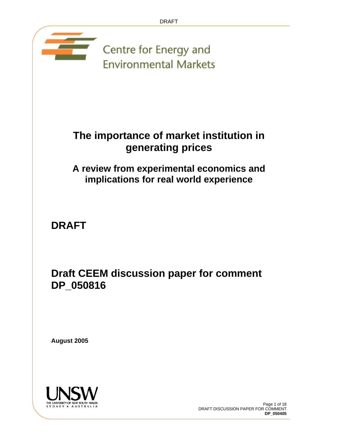

## **The importance of market institution in generating prices**

## **A review from experimental economics and implications for real world experience**

**DRAFT** 

**Draft CEEM discussion paper for comment DP\_050816**

**August 2005** 

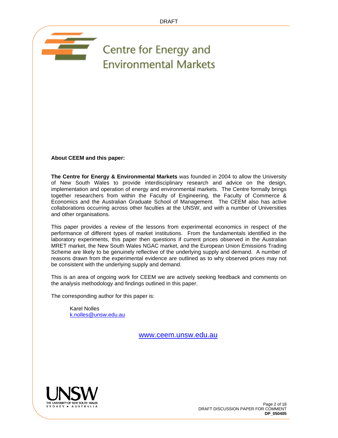## Centre for Energy and **Environmental Markets**

**About CEEM and this paper:**

and the second party of the second second party in the second second second second second second second second in  $\sim$ 

**The Centre for Energy & Environmental Markets** was founded in 2004 to allow the University of New South Wales to provide interdisciplinary research and advice on the design, implementation and operation of energy and environmental markets. The Centre formally brings together researchers from within the Faculty of Engineering, the Faculty of Commerce & Economics and the Australian Graduate School of Management. The CEEM also has active collaborations occurring across other faculties at the UNSW, and with a number of Universities and other organisations.

This paper provides a review of the lessons from experimental economics in respect of the performance of different types of market institutions. From the fundamentals identified in the laboratory experiments, this paper then questions if current prices observed in the Australian MRET market, the New South Wales NGAC market, and the European Union Emissions Trading Scheme are likely to be genuinely reflective of the underlying supply and demand. A number of reasons drawn from the experimental evidence are outlined as to why observed prices may not be consistent with the underlying supply and demand.

This is an area of ongoing work for CEEM we are actively seeking feedback and comments on the analysis methodology and findings outlined in this paper.

The corresponding author for this paper is:

Karel Nolles k.nolles@unsw.edu.au

www.ceem.unsw.edu.au

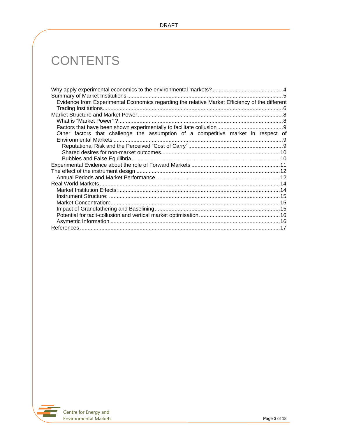# **CONTENTS**

| Evidence from Experimental Economics regarding the relative Market Efficiency of the different |  |
|------------------------------------------------------------------------------------------------|--|
|                                                                                                |  |
|                                                                                                |  |
|                                                                                                |  |
|                                                                                                |  |
| Other factors that challenge the assumption of a competitive market in respect of              |  |
|                                                                                                |  |
|                                                                                                |  |
|                                                                                                |  |
|                                                                                                |  |
|                                                                                                |  |
|                                                                                                |  |
|                                                                                                |  |
|                                                                                                |  |
|                                                                                                |  |
|                                                                                                |  |
|                                                                                                |  |
|                                                                                                |  |
|                                                                                                |  |
|                                                                                                |  |
|                                                                                                |  |

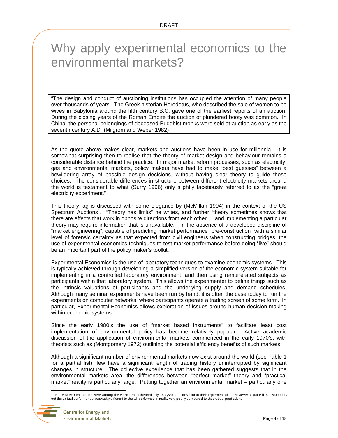## Why apply experimental economics to the environmental markets?

"The design and conduct of auctioning institutions has occupied the attention of many people over thousands of years. The Greek historian Herodotus, who described the sale of women to be wives in Babylonia around the fifth century B.C, gave one of the earliest reports of an auction. During the closing years of the Roman Empire the auction of plundered booty was common. In China, the personal belongings of deceased Buddhist monks were sold at auction as early as the seventh century A.D" (Milgrom and Weber 1982)

As the quote above makes clear, markets and auctions have been in use for millennia. It is somewhat surprising then to realise that the theory of market design and behaviour remains a considerable distance behind the practice. In major market reform processes, such as electricity, gas and environmental markets, policy makers have had to make "best guesses" between a bewildering array of possible design decisions, without having clear theory to guide those choices. The considerable differences in structure between different electricity markets around the world is testament to what (Surry 1996) only slightly facetiously referred to as the "great electricity experiment."

This theory lag is discussed with some elegance by (McMillan 1994) in the context of the US Spectrum Auctions<sup>1</sup>. "Theory has limits" he writes, and further "theory sometimes shows that there are effects that work in opposite directions from each other … and implementing a particular theory may require information that is unavailable." In the absence of a developed discipline of "market engineering", capable of predicting market performance "pre-construction" with a similar level of forensic certainty as that expected from civil engineers when constructing bridges, the use of experimental economics techniques to test market performance before going "live" should be an important part of the policy maker's toolkit.

Experimental Economics is the use of laboratory techniques to examine economic systems. This is typically achieved through developing a simplified version of the economic system suitable for implementing in a controlled laboratory environment, and then using remunerated subjects as participants within that laboratory system. This allows the experimenter to define things such as the intrinsic valuations of participants and the underlying supply and demand schedules. Although many seminal experiments have been run by hand, it is often the case today to run the experiments on computer networks, where participants operate a trading screen of some form. In particular, Experimental Economics allows exploration of issues around human decision-making within economic systems.

Since the early 1980's the use of "market based instruments" to facilitate least cost implementation of environmental policy has become relatively popular. Active academic discussion of the application of environmental markets commenced in the early 1970's, with theorists such as (Montgomery 1972) outlining the potential efficiency benefits of such markets.

Although a significant number of environmental markets now exist around the world (see Table 1 for a partial list), few have a significant length of trading history uninterrupted by significant changes in structure. The collective experience that has been gathered suggests that in the environmental markets area, the differences between "perfect market" theory and "practical market" reality is particularly large. Putting together an environmental market – particularly one

the US Spectrum auction were among the world's most theoretically analysed auctions prior to their implementation. However as (McMillan 1994) points "<br>out the actual performance was vastly different to the still performed

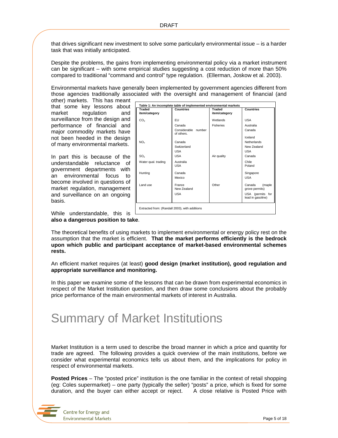that drives significant new investment to solve some particularly environmental issue – is a harder task that was initially anticipated.

Despite the problems, the gains from implementing environmental policy via a market instrument can be significant – with some empirical studies suggesting a cost reduction of more than 50% compared to traditional "command and control" type regulation. (Ellerman, Joskow et al. 2003).

Environmental markets have generally been implemented by government agencies different from those agencies traditionally associated with the oversight and management of financial (and

other) markets. This has meant that some key lessons about market regulation and surveillance from the design and performance of financial and major commodity markets have not been heeded in the design of many environmental markets.

In part this is because of the understandable reluctance of government departments with an environmental focus to become involved in questions of market regulation, management and surveillance on an ongoing basis.

While understandable, this is **also a dangerous position to take**.



The theoretical benefits of using markets to implement environmental or energy policy rest on the assumption that the market is efficient. **That the market performs efficiently is the bedrock upon which public and participant acceptance of market-based environmental schemes rests.** 

An efficient market requires (at least) **good design (market institution), good regulation and appropriate surveillance and monitoring.**

In this paper we examine some of the lessons that can be drawn from experimental economics in respect of the Market Institution question, and then draw some conclusions about the probably price performance of the main environmental markets of interest in Australia.

## Summary of Market Institutions

Market Institution is a term used to describe the broad manner in which a price and quantity for trade are agreed. The following provides a quick overview of the main institutions, before we consider what experimental economics tells us about them, and the implications for policy in respect of environmental markets.

**Posted Prices** – The "posted price" institution is the one familiar in the context of retail shopping (eg: Coles supermarket) – one party (typically the seller) "posts" a price, which is fixed for some duration, and the buyer can either accept or reject. A close relative is Posted Price with

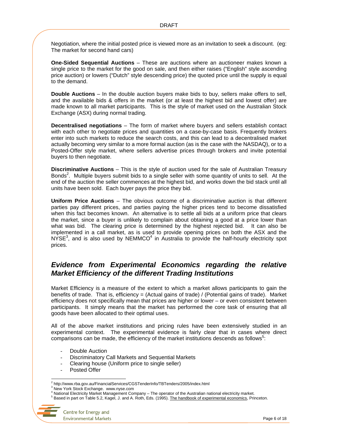Negotiation, where the initial posted price is viewed more as an invitation to seek a discount. (eg: The market for second hand cars)

**One-Sided Sequential Auctions** – These are auctions where an auctioneer makes known a single price to the market for the good on sale, and then either raises ("English" style ascending price auction) or lowers ("Dutch" style descending price) the quoted price until the supply is equal to the demand.

**Double Auctions** – In the double auction buyers make bids to buy, sellers make offers to sell, and the available bids & offers in the market (or at least the highest bid and lowest offer) are made known to all market participants. This is the style of market used on the Australian Stock Exchange (ASX) during normal trading.

**Decentralised negotiations** – The form of market where buyers and sellers establish contact with each other to negotiate prices and quantities on a case-by-case basis. Frequently brokers enter into such markets to reduce the search costs, and this can lead to a decentralised market actually becoming very similar to a more formal auction (as is the case with the NASDAQ), or to a Posted-Offer style market, where sellers advertise prices through brokers and invite potential buyers to then negotiate.

**Discriminative Auctions** – This is the style of auction used for the sale of Australian Treasury Bonds<sup>2</sup>. Multiple buyers submit bids to a single seller with some quantity of units to sell. At the end of the auction the seller commences at the highest bid, and works down the bid stack until all units have been sold. Each buyer pays the price they bid.

**Uniform Price Auctions** – The obvious outcome of a discriminative auction is that different parties pay different prices, and parties paying the higher prices tend to become dissatisfied when this fact becomes known. An alternative is to settle all bids at a uniform price that clears the market, since a buyer is unlikely to complain about obtaining a good at a price lower than what was bid. The clearing price is determined by the highest rejected bid. It can also be implemented in a call market, as is used to provide opening prices on both the ASX and the  $NYSE<sup>3</sup>$ , and is also used by NEMMCO<sup>4</sup> in Australia to provide the half-hourly electricity spot prices.

### *Evidence from Experimental Economics regarding the relative Market Efficiency of the different Trading Institutions*

Market Efficiency is a measure of the extent to which a market allows participants to gain the benefits of trade. That is, efficiency = (Actual gains of trade) / (Potential gains of trade). Market efficiency does not specifically mean that prices are higher or lower – or even consistent between participants. It simply means that the market has performed the core task of ensuring that all goods have been allocated to their optimal uses.

All of the above market institutions and pricing rules have been extensively studied in an experimental context. The experimental evidence is fairly clear that in cases where direct comparisons can be made, the efficiency of the market institutions descends as follows<sup>5</sup>:

- Double Auction
- Discriminatory Call Markets and Sequential Markets
- Clearing house (Uniform price to single seller)
- Posted Offer

 2 http://www.rba.gov.au/FinancialServices/CGSTenderInfo/TBTenders/2005/index.html

<sup>3</sup> New York Stock Exchange. www.nyse.com

<sup>4</sup> National Electricity Market Management Company – The operator of the Australian national electricity market.

<sup>&</sup>lt;sup>5</sup> Based in part on Table 5.2, Kagel, J. and A. Roth, Eds. (1995). The handbook of experimental economics, Princeton.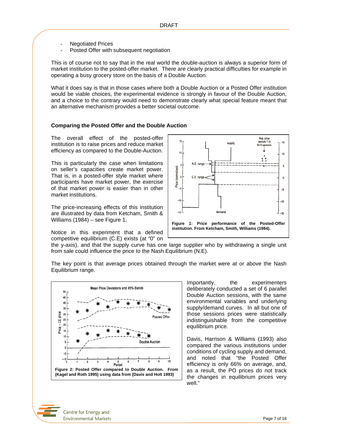- **Negotiated Prices**
- Posted Offer with subsequent negotiation

This is of course not to say that in the real world the double-auction is always a superior form of market institution to the posted-offer market. There are clearly practical difficulties for example in operating a busy grocery store on the basis of a Double Auction.

What it does say is that in those cases where both a Double Auction or a Posted Offer institution would be viable choices, the experimental evidence is strongly in favour of the Double Auction, and a choice to the contrary would need to demonstrate clearly what special feature meant that an alternative mechanism provides a better societal outcome.

#### **Comparing the Posted Offer and the Double Auction**

The overall effect of the posted-offer institution is to raise prices and reduce market efficiency as compared to the Double-Auction.

This is particularly the case when limitations on seller's capacities create market power. That is, in a posted-offer style market where participants have market power, the exercise of that market power is easier than in other market institutions.

The price-increasing effects of this institution are illustrated by data from Ketcham, Smith & Williams (1984) – see Figure 1.

Notice in this experiment that a defined competitive equilibrium (C.E) exists (at "0" on



the y-axis), and that the supply curve has one large supplier who by withdrawing a single unit from sale could influence the price to the Nash Equilibrium (N.E).

The key point is that average prices obtained through the market were at or above the Nash Equilibrium range.



Importantly, the experimenters deliberately conducted a set of 6 parallel Double Auction sessions, with the same environmental variables and underlying supply/demand curves. In all but one of those sessions prices were statistically indistinguishable from the competitive equilibrium price.

Davis, Harrison & Williams (1993) also compared the various institutions under conditions of cycling supply and demand, and noted that "the Posted Offer efficiency is only 66% on average, and, as a result, the PO prices do not track the changes in equilibrium prices very well."

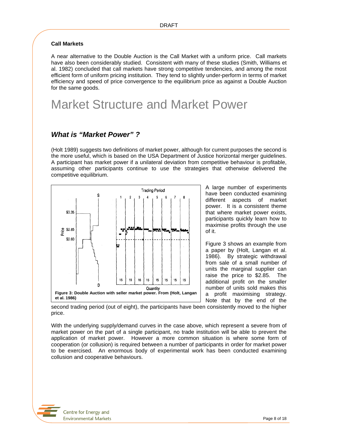#### **Call Markets**

A near alternative to the Double Auction is the Call Market with a uniform price. Call markets have also been considerably studied. Consistent with many of these studies (Smith, Williams et al. 1982) concluded that call markets have strong competitive tendencies, and among the most efficient form of uniform pricing institution. They tend to slightly under-perform in terms of market efficiency and speed of price convergence to the equilibrium price as against a Double Auction for the same goods.

## Market Structure and Market Power

### *What is "Market Power" ?*

(Holt 1989) suggests two definitions of market power, although for current purposes the second is the more useful, which is based on the USA Department of Justice horizontal merger guidelines. A participant has market power if a unilateral deviation from competitive behaviour is profitable, assuming other participants continue to use the strategies that otherwise delivered the competitive equilibrium.



A large number of experiments have been conducted examining different aspects of market power. It is a consistent theme that where market power exists, participants quickly learn how to maximise profits through the use of it.

Figure 3 shows an example from a paper by (Holt, Langan et al. 1986). By strategic withdrawal from sale of a small number of units the marginal supplier can raise the price to \$2.85. The additional profit on the smaller number of units sold makes this a profit maximising strategy. Note that by the end of the

second trading period (out of eight), the participants have been consistently moved to the higher price.

With the underlying supply/demand curves in the case above, which represent a severe from of market power on the part of a single participant, no trade institution will be able to prevent the application of market power. However a more common situation is where some form of cooperation (or collusion) is required between a number of participants in order for market power to be exercised. An enormous body of experimental work has been conducted examining collusion and cooperative behaviours.

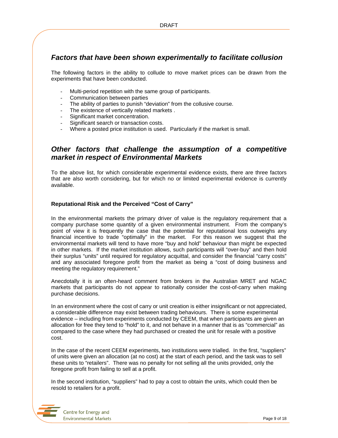### *Factors that have been shown experimentally to facilitate collusion*

The following factors in the ability to collude to move market prices can be drawn from the experiments that have been conducted.

- Multi-period repetition with the same group of participants.
- Communication between parties
- The ability of parties to punish "deviation" from the collusive course.
- The existence of vertically related markets.
- Significant market concentration.
- Significant search or transaction costs.
- Where a posted price institution is used. Particularly if the market is small.

### *Other factors that challenge the assumption of a competitive market in respect of Environmental Markets*

To the above list, for which considerable experimental evidence exists, there are three factors that are also worth considering, but for which no or limited experimental evidence is currently available.

#### **Reputational Risk and the Perceived "Cost of Carry"**

In the environmental markets the primary driver of value is the regulatory requirement that a company purchase some quantity of a given environmental instrument. From the company's point of view it is frequently the case that the potential for reputational loss outweighs any financial incentive to trade "optimally" in the market. For this reason we suggest that the environmental markets will tend to have more "buy and hold" behaviour than might be expected in other markets. If the market institution allows, such participants will "over-buy" and then hold their surplus "units" until required for regulatory acquittal, and consider the financial "carry costs" and any associated foregone profit from the market as being a "cost of doing business and meeting the regulatory requirement."

Anecdotally it is an often-heard comment from brokers in the Australian MRET and NGAC markets that participants do not appear to rationally consider the cost-of-carry when making purchase decisions.

In an environment where the cost of carry or unit creation is either insignificant or not appreciated, a considerable difference may exist between trading behaviours. There is some experimental evidence – including from experiments conducted by CEEM, that when participants are given an allocation for free they tend to "hold" to it, and not behave in a manner that is as "commercial" as compared to the case where they had purchased or created the unit for resale with a positive cost.

In the case of the recent CEEM experiments, two institutions were trialled. In the first, "suppliers" of units were given an allocation (at no cost) at the start of each period, and the task was to sell these units to "retailers". There was no penalty for not selling all the units provided, only the foregone profit from failing to sell at a profit.

In the second institution, "suppliers" had to pay a cost to obtain the units, which could then be resold to retailers for a profit.

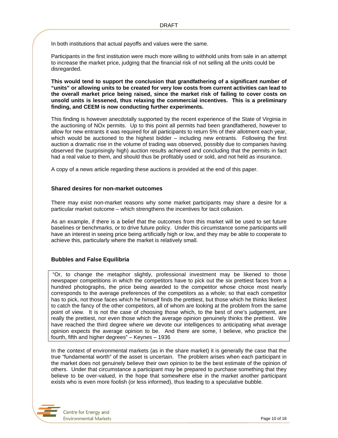In both institutions that actual payoffs and values were the same.

Participants in the first institution were much more willing to withhold units from sale in an attempt to increase the market price, judging that the financial risk of not selling all the units could be disregarded.

**This would tend to support the conclusion that grandfathering of a significant number of "units" or allowing units to be created for very low costs from current activities can lead to the overall market price being raised, since the market risk of failing to cover costs on unsold units is lessened, thus relaxing the commercial incentives. This is a preliminary finding, and CEEM is now conducting further experiments.** 

This finding is however anecdotally supported by the recent experience of the State of Virginia in the auctioning of NOx permits. Up to this point all permits had been grandfathered, however to allow for new entrants it was required for all participants to return 5% of their allotment each year, which would be auctioned to the highest bidder – including new entrants. Following the first auction a dramatic rise in the volume of trading was observed, possibly due to companies having observed the (surprisingly high) auction results achieved and concluding that the permits in fact had a real value to them, and should thus be profitably used or sold, and not held as insurance.

A copy of a news article regarding these auctions is provided at the end of this paper.

#### **Shared desires for non-market outcomes**

There may exist non-market reasons why some market participants may share a desire for a particular market outcome – which strengthens the incentives for tacit collusion.

As an example, if there is a belief that the outcomes from this market will be used to set future baselines or benchmarks, or to drive future policy. Under this circumstance some participants will have an interest in seeing price being artificially high or low, and they may be able to cooperate to achieve this, particularly where the market is relatively small.

#### **Bubbles and False Equilibria**

 "Or, to change the metaphor slightly, professional investment may be likened to those newspaper competitions in which the competitors have to pick out the six prettiest faces from a hundred photographs, the price being awarded to the competitor whose choice most nearly corresponds to the average preferences of the competitors as a whole; so that each competitor has to pick, not those faces which he himself finds the prettiest, but those which he thinks likeliest to catch the fancy of the other competitors, all of whom are looking at the problem from the same point of view. It is not the case of choosing those which, to the best of one's judgement, are really the prettiest, nor even those which the average opinion genuinely thinks the prettiest. We have reached the third degree where we devote our intelligences to anticipating what average opinion expects the average opinion to be. And there are some, I believe, who practice the fourth, fifth and higher degrees" – Keynes – 1936

In the context of environmental markets (as in the share market) it is generally the case that the true "fundamental worth" of the asset is uncertain. The problem arises when each participant in the market does not genuinely believe their own opinion to be the best estimate of the opinion of others. Under that circumstance a participant may be prepared to purchase something that they believe to be over-valued, in the hope that somewhere else in the market another participant exists who is even more foolish (or less informed), thus leading to a speculative bubble.

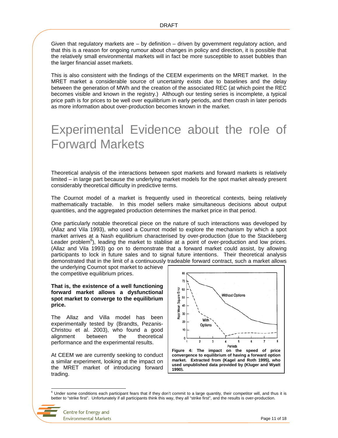Given that regulatory markets are  $-$  by definition  $-$  driven by government regulatory action, and that this is a reason for ongoing rumour about changes in policy and direction, it is possible that the relatively small environmental markets will in fact be more susceptible to asset bubbles than the larger financial asset markets.

This is also consistent with the findings of the CEEM experiments on the MRET market. In the MRET market a considerable source of uncertainty exists due to baselines and the delay between the generation of MWh and the creation of the associated REC (at which point the REC becomes visible and known in the registry.) Although our testing series is incomplete, a typical price path is for prices to be well over equilibrium in early periods, and then crash in later periods as more information about over-production becomes known in the market.

## Experimental Evidence about the role of Forward Markets

Theoretical analysis of the interactions between spot markets and forward markets is relatively limited – in large part because the underlying market models for the spot market already present considerably theoretical difficulty in predictive terms.

The Cournot model of a market is frequently used in theoretical contexts, being relatively mathematically tractable. In this model sellers make simultaneous decisions about output quantities, and the aggregated production determines the market price in that period.

One particularly notable theoretical piece on the nature of such interactions was developed by (Allaz and Vila 1993), who used a Cournot model to explore the mechanism by which a spot market arrives at a Nash equilibrium characterised by over-production (due to the Stackleberg Leader problem<sup>6</sup>), leading the market to stablise at a point of over-production and low prices. (Allaz and Vila 1993) go on to demonstrate that a forward market could assist, by allowing participants to lock in future sales and to signal future intentions. Their theoretical analysis demonstrated that in the limit of a continuously tradeable forward contract, such a market allows

the underlying Cournot spot market to achieve the competitive equilibrium prices.

**That is, the existence of a well functioning forward market allows a dysfunctional spot market to converge to the equilibrium price.** 

The Allaz and Villa model has been experimentally tested by (Brandts, Pezanis-Christou et al. 2003), who found a good alignment between the theoretical performance and the experimental results.

At CEEM we are currently seeking to conduct a similar experiment, looking at the impact on the MRET market of introducing forward trading.



**market. Extracted from (Kagel and Roth 1995), who used unpublished data provided by (Kluger and Wyatt 1990).**

e<br><sup>6</sup> Under some conditions each participant fears that if they don't commit to a large quantity, their competitor will, and thus it is better to "strike first". Unfortunately if all participants think this way, they all "strike first", and the results is over-production.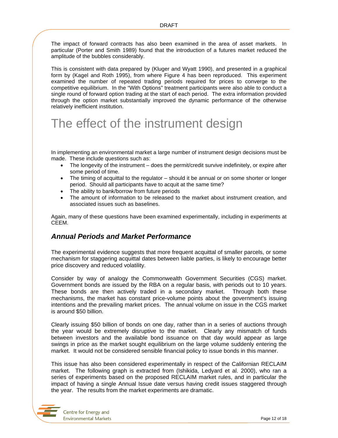The impact of forward contracts has also been examined in the area of asset markets. In particular (Porter and Smith 1989) found that the introduction of a futures market reduced the amplitude of the bubbles considerably.

This is consistent with data prepared by (Kluger and Wyatt 1990), and presented in a graphical form by (Kagel and Roth 1995), from where Figure 4 has been reproduced. This experiment examined the number of repeated trading periods required for prices to converge to the competitive equilibrium. In the "With Options" treatment participants were also able to conduct a single round of forward option trading at the start of each period. The extra information provided through the option market substantially improved the dynamic performance of the otherwise relatively inefficient institution.

## The effect of the instrument design

In implementing an environmental market a large number of instrument design decisions must be made. These include questions such as:

- The longevity of the instrument does the permit/credit survive indefinitely, or expire after some period of time.
- The timing of acquittal to the regulator should it be annual or on some shorter or longer period. Should all participants have to acquit at the same time?
- The ability to bank/borrow from future periods
- The amount of information to be released to the market about instrument creation, and associated issues such as baselines.

Again, many of these questions have been examined experimentally, including in experiments at CEEM.

### *Annual Periods and Market Performance*

The experimental evidence suggests that more frequent acquittal of smaller parcels, or some mechanism for staggering acquittal dates between liable parties, is likely to encourage better price discovery and reduced volatility.

Consider by way of analogy the Commonwealth Government Securities (CGS) market. Government bonds are issued by the RBA on a regular basis, with periods out to 10 years. These bonds are then actively traded in a secondary market. Through both these mechanisms, the market has constant price-volume points about the government's issuing intentions and the prevailing market prices. The annual volume on issue in the CGS market is around \$50 billion.

Clearly issuing \$50 billion of bonds on one day, rather than in a series of auctions through the year would be extremely disruptive to the market. Clearly any mismatch of funds between investors and the available bond issuance on that day would appear as large swings in price as the market sought equilibrium on the large volume suddenly entering the market. It would not be considered sensible financial policy to issue bonds in this manner.

This issue has also been considered experimentally in respect of the Californian RECLAIM market. The following graph is extracted from (Ishikida, Ledyard et al. 2000), who ran a series of experiments based on the proposed RECLAIM market rules, and in particular the impact of having a single Annual Issue date versus having credit issues staggered through the year. The results from the market experiments are dramatic.

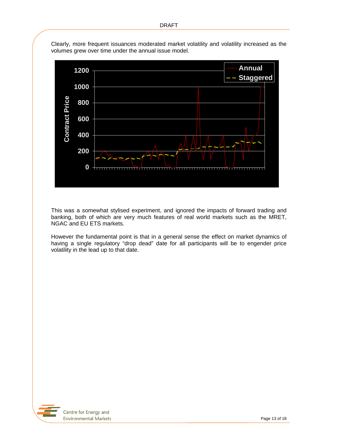

Clearly, more frequent issuances moderated market volatility and volatility increased as the volumes grew over time under the annual issue model.

This was a somewhat stylised experiment, and ignored the impacts of forward trading and banking, both of which are very much features of real world markets such as the MRET, NGAC and EU ETS markets.

However the fundamental point is that in a general sense the effect on market dynamics of having a single regulatory "drop dead" date for all participants will be to engender price volatility in the lead up to that date.

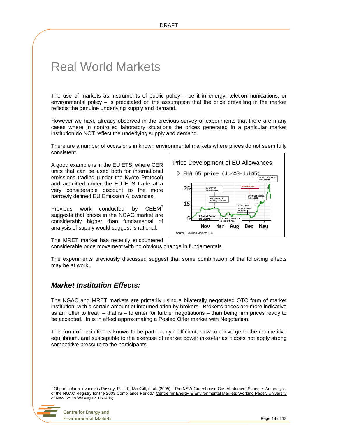## Real World Markets

The use of markets as instruments of public policy – be it in energy, telecommunications, or environmental policy – is predicated on the assumption that the price prevailing in the market reflects the genuine underlying supply and demand.

However we have already observed in the previous survey of experiments that there are many cases where in controlled laboratory situations the prices generated in a particular market institution do NOT reflect the underlying supply and demand.

There are a number of occasions in known environmental markets where prices do not seem fully consistent.

A good example is in the EU ETS, where CER units that can be used both for international emissions trading (under the Kyoto Protocol) and acquitted under the EU ETS trade at a very considerable discount to the more narrowly defined EU Emission Allowances.

Previous work conducted by  $CEEM<sup>7</sup>$ suggests that prices in the NGAC market are considerably higher than fundamental of analysis of supply would suggest is rational.



The MRET market has recently encountered considerable price movement with no obvious change in fundamentals.

The experiments previously discussed suggest that some combination of the following effects may be at work.

## *Market Institution Effects:*

The NGAC and MRET markets are primarily using a bilaterally negotiated OTC form of market institution, with a certain amount of intermediation by brokers. Broker's prices are more indicative as an "offer to treat" – that is – to enter for further negotiations – than being firm prices ready to be accepted. In is in effect approximating a Posted Offer market with Negotiation.

This form of institution is known to be particularly inefficient, slow to converge to the competitive equilibrium, and susceptible to the exercise of market power in-so-far as it does not apply strong competitive pressure to the participants.

<sup>7</sup> Of particular relevance is Passey, R., I. F. MacGill, et al. (2005). "The NSW Greenhouse Gas Abatement Scheme: An analysis of the NGAC Registry for the 2003 Compliance Period." Centre for Energy & Environmental Markets Working Paper. University of New South Wales(DP\_050405).



l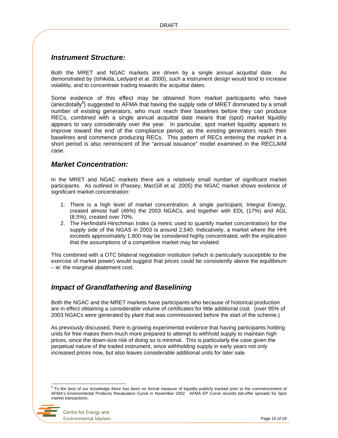### *Instrument Structure:*

Both the MRET and NGAC markets are driven by a single annual acquittal date. As demonstrated by (Ishikida, Ledyard et al. 2000), such a instrument design would tend to increase volalitity, and to concentrate trading towards the acquittal dates.

Some evidence of this effect may be obtained from market participants who have (anecdotally ${}^{8}$ ) suggested to AFMA that having the supply side of MRET dominated by a small number of existing generators, who must reach their baselines before they can produce RECs, combined with a single annual acquittal date means that (spot) market liquidity appears to vary considerably over the year. In particular, spot market liquidity appears to improve toward the end of the compliance period, as the existing generators reach their baselines and commence producing RECs. This pattern of RECs entering the market in a short period is also reminiscent of the "annual issuance" model examined in the RECLAIM case.

### *Market Concentration:*

In the MRET and NGAC markets there are a relatively small number of significant market participants. As outlined in (Passey, MacGill et al. 2005) the NGAC market shows evidence of significant market concentration:

- 1. There is a high level of market concentration. A single participant, Integral Energy, created almost half (46%) the 2003 NGACs, and together with EDL (17%) and AGL (8.5%), created over 70%.
- 2. The Herfindahl-Hirschman Index (a metric used to quantify market concentration) for the supply side of the NGAS in 2003 is around 2,540. Indicatively, a market where the HHI exceeds approximately 1,800 may be considered highly concentrated, with the implication that the assumptions of a competitive market may be violated.

This combined with a OTC bilateral negotiation institution (which is particularly susceptible to the exercise of market power) would suggest that prices could be consistently above the equilibrium – ie: the marginal abatement cost.

### *Impact of Grandfathering and Baselining*

Both the NGAC and the MRET markets have participants who because of historical production are in effect obtaining a considerable volume of certificates for little additional cost. (over 95% of 2003 NGACs were generated by plant that was commissioned before the start of the scheme.)

As previously discussed, there is growing experimental evidence that having participants holding units for free makes them much more prepared to attempt to withhold supply to maintain high prices, since the down-size risk of doing so is minimal. This is particularly the case given the perpetual nature of the traded instrument, since withholding supply in early years not only increased prices now, but also leaves considerable additional units for later sale.

l 8 To the best of our knowledge there has been no formal measure of liquidity publicly tracked prior to the commencement of AFMA's Environmental Products Revaluation Curve in November 2002. AFMA EP Curve records bid-offer spreads for Spot market transactions.

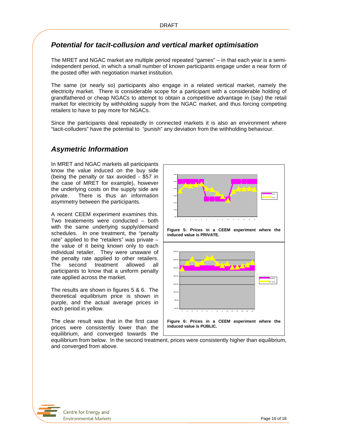### *Potential for tacit-collusion and vertical market optimisation*

The MRET and NGAC market are multiple period repeated "games" – in that each year is a semiindependent period, in which a small number of known participants engage under a near form of the posted offer with negotiation market institution.

The same (or nearly so) participants also engage in a related vertical market, namely the electricity market. There is considerable scope for a participant with a considerable holding of grandfathered or cheap NGACs to attempt to obtain a competitive advantage in (say) the retail market for electricity by withholding supply from the NGAC market, and thus forcing competing retailers to have to pay more for NGACs.

Since the participants deal repeatedly in connected markets it is also an environment where "tacit-colluders" have the potential to "punish" any deviation from the withholding behaviour.

### *Asymetric Information*

In MRET and NGAC markets all participants know the value induced on the buy side (being the penalty or tax avoided - \$57 in the case of MRET for example), however the underlying costs on the supply side are private. There is thus an information asymmetry between the participants.

A recent CEEM experiment examines this. Two treatements were conducted – both with the same underlying supply/demand schedules. In one treatment, the "penalty rate" applied to the "retailers" was private – the value of it being known only to each individual retailer. They were unaware of the penalty rate applied to other retailers. The second treatment allowed all participants to know that a uniform penalty rate applied across the market.

The results are shown in figures 5 & 6. The theoretical equilibrium price is shown in purple, and the actual average prices in each period in yellow.

The clear result was that in the first case prices were consistently lower than the equilibrium, and converged towards the



**Figure 5: Prices in a CEEM experiment where the induced value is PRIVATE.** 



equilibrium from below. In the second treatment, prices were consistently higher than equilibrium, and converged from above.

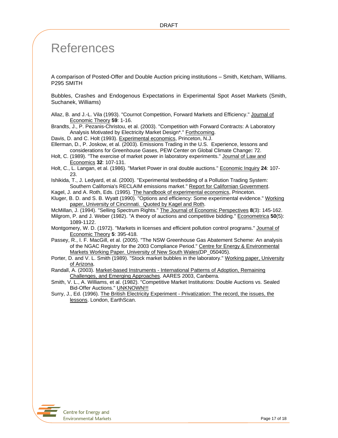## References

A comparison of Posted-Offer and Double Auction pricing institutions – Smith, Ketcham, Williams. P295 SMITH

Bubbles, Crashes and Endogenous Expectations in Experimental Spot Asset Markets (Smith, Suchanek, Williams)

Allaz, B. and J.-L. Vila (1993). "Cournot Competition, Forward Markets and Efficiency." Journal of Economic Theory **59**: 1-16.

Brandts, J., P. Pezanis-Christou, et al. (2003). "Competition with Forward Contracts: A Laboratory Analysis Motivated by Electricity Market Design\*." Forthcoming.

Davis, D. and C. Holt (1993). Experimental economics, Princeton, N.J.

Ellerman, D., P. Joskow, et al. (2003). Emissions Trading in the U.S. Experience, lessons and considerations for Greenhouse Gases, PEW Center on Global Climate Change**:** 72.

Holt, C. (1989). "The exercise of market power in laboratory experiments." Journal of Law and Economics **32**: 107-131.

Holt, C., L. Langan, et al. (1986). "Market Power in oral double auctions." Economic Inquiry **24**: 107- 23.

Ishikida, T., J. Ledyard, et al. (2000). "Experimental testbedding of a Pollution Trading System: Southern California's RECLAIM emissions market." Report for Californian Government.

Kagel, J. and A. Roth, Eds. (1995). The handbook of experimental economics, Princeton.

Kluger, B. D. and S. B. Wyatt (1990). "Options and efficiency: Some experimental evidence." Working paper, University of Cincinnati. Quoted by Kagel and Roth.

McMillan, J. (1994). "Selling Spectrum Rights." The Journal of Economic Perspectives **8**(3): 145-162.

Milgrom, P. and J. Weber (1982). "A theory of auctions and competitive bidding." Econometrica **50**(5): 1089-1122.

Montgomery, W. D. (1972). "Markets in licenses and efficient pollution control programs." Journal of Economic Theory **5**: 395-418.

Passey, R., I. F. MacGill, et al. (2005). "The NSW Greenhouse Gas Abatement Scheme: An analysis of the NGAC Registry for the 2003 Compliance Period." Centre for Energy & Environmental Markets Working Paper. University of New South Wales(DP\_050405).

Porter, D. and V. L. Smith (1989). "Stock market bubbles in the laboratory." Working paper, University of Arizona.

Randall, A. (2003). Market-based Instruments - International Patterns of Adoption, Remaining Challenges, and Emerging Approaches. AARES 2003, Canberra.

Smith, V. L., A. Williams, et al. (1982). "Competitive Market Institutions: Double Auctions vs. Sealed Bid-Offer Auctions." UNKNOWN!!!

Surry, J., Ed. (1996). The British Electricity Experiment - Privatization: The record, the issues, the lessons. London, EarthScan.